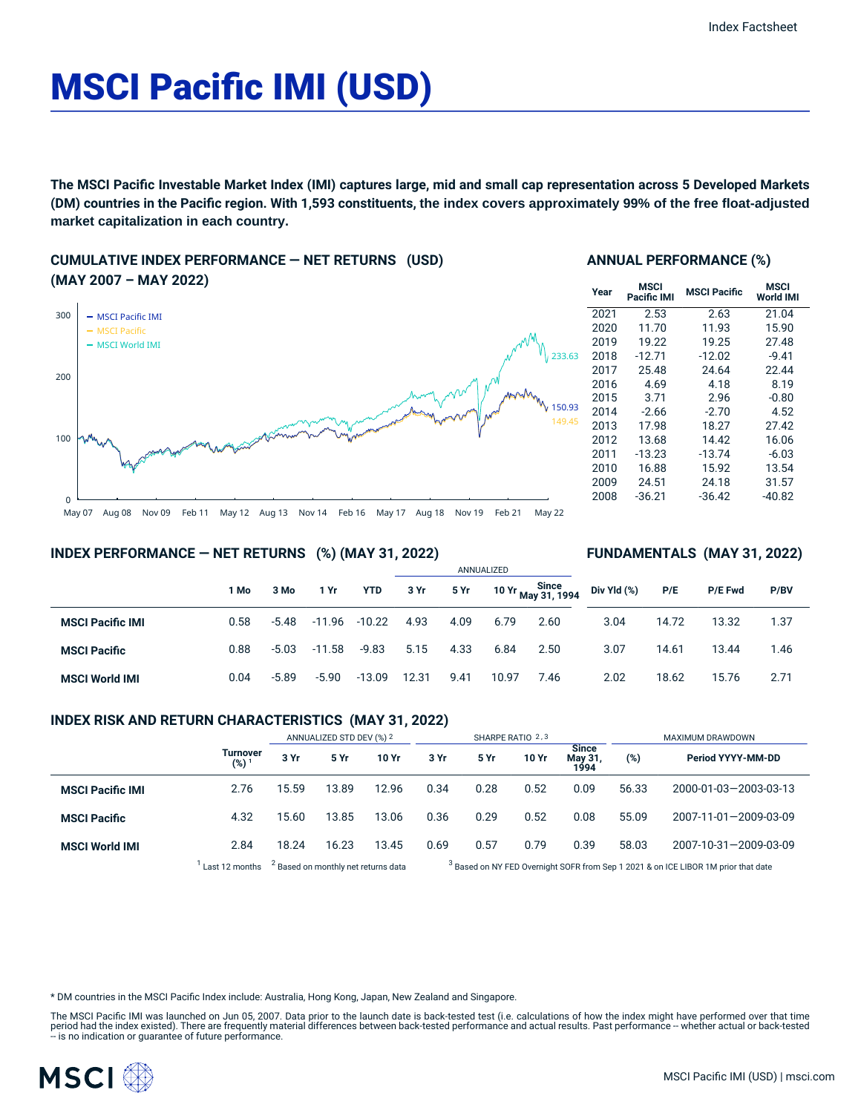# MSCI Pacific IMI (USD)

The MSCI Pacific Investable Market Index (IMI) captures large, mid and small cap representation across 5 Developed Markets **(DM) countries in the Pacific region. With 1,593 constituents, the index covers approximately 99% of the free float-adjusted market capitalization in each country.**

# **CUMULATIVE INDEX PERFORMANCE — NET RETURNS (USD) (MAY 2007 – MAY 2022)**



# **ANNUAL PERFORMANCE (%)**

| Year | MSCI<br>Pacific IMI | <b>MSCI Pacific</b> | MSCI<br><b>World IMI</b> |
|------|---------------------|---------------------|--------------------------|
| 2021 | 2.53                | 2.63                | 21.04                    |
| 2020 | 11.70               | 11.93               | 15.90                    |
| 2019 | 19.22               | 19.25               | 27.48                    |
| 2018 | $-12.71$            | $-12.02$            | $-9.41$                  |
| 2017 | 25.48               | 24.64               | 22.44                    |
| 2016 | 4.69                | 4.18                | 8.19                     |
| 2015 | 3.71                | 2.96                | $-0.80$                  |
| 2014 | $-2.66$             | $-2.70$             | 4.52                     |
| 2013 | 17.98               | 18.27               | 27.42                    |
| 2012 | 13.68               | 14.42               | 16.06                    |
| 2011 | $-13.23$            | $-13.74$            | $-6.03$                  |
| 2010 | 16.88               | 15.92               | 13.54                    |
| 2009 | 24.51               | 24.18               | 31.57                    |
| 2008 | $-36.21$            | $-36.42$            | $-40.82$                 |

**FUNDAMENTALS (MAY 31, 2022)**

# **INDEX PERFORMANCE — NET RETURNS (%) (MAY 31, 2022)**

#### ANNUALIZED **1 Mo 3 Mo 1 Yr YTD 3 Yr 5 Yr 10 Yr Since May 31, 1994 MSCI Pacific IMI** 0.58 -5.48 -11.96 -10.22 4.93 4.09 6.79 2.60 **MSCI Pacific** 0.88 -5.03 -11.58 -9.83 5.15 4.33 6.84 2.50 **MSCI World IMI** 0.04 -5.89 -5.90 -13.09 12.31 9.41 10.97 7.46 **Div Yld (%) P/E P/E Fwd P/BV** 3.04 14.72 13.32 1.37 3.07 14.61 13.44 1.46 2.02 18.62 15.76 2.71

# **INDEX RISK AND RETURN CHARACTERISTICS (MAY 31, 2022)**

|                         |                              | ANNUALIZED STD DEV (%) 2 |                                                | SHARPE RATIO 2,3 |      |      |       | MAXIMUM DRAWDOWN                      |       |                                                                                               |
|-------------------------|------------------------------|--------------------------|------------------------------------------------|------------------|------|------|-------|---------------------------------------|-------|-----------------------------------------------------------------------------------------------|
|                         | Turnover<br>(%) <sup>1</sup> | 3 Yr                     | 5 Yr                                           | 10 Yr            | 3 Yr | 5 Yr | 10 Yr | <b>Since</b><br><b>May 31</b><br>1994 | (%)   | Period YYYY-MM-DD                                                                             |
| <b>MSCI Pacific IMI</b> | 2.76                         | 15.59                    | 13.89                                          | 12.96            | 0.34 | 0.28 | 0.52  | 0.09                                  | 56.33 | 2000-01-03-2003-03-13                                                                         |
| <b>MSCI Pacific</b>     | 4.32                         | 15.60                    | 13.85                                          | 13.06            | 0.36 | 0.29 | 0.52  | 0.08                                  | 55.09 | 2007-11-01-2009-03-09                                                                         |
| <b>MSCI World IMI</b>   | 2.84                         | 18.24                    | 16.23                                          | 13.45            | 0.69 | 0.57 | 0.79  | 0.39                                  | 58.03 | 2007-10-31-2009-03-09                                                                         |
|                         | Last 12 months               |                          | <sup>2</sup> Based on monthly net returns data |                  |      |      |       |                                       |       | <sup>3</sup> Based on NY FED Overnight SOFR from Sep 1 2021 & on ICE LIBOR 1M prior that date |

\* DM countries in the MSCI Pacific Index include: Australia, Hong Kong, Japan, New Zealand and Singapore.

The MSCI Pacific IMI was launched on Jun 05, 2007. Data prior to the launch date is back-tested test (i.e. calculations of how the index might have performed over that time period had the index existed). There are frequently material differences between back-tested performance and actual results. Past performance – whether actual or back-tested<br>– is no indication or guarantee of future perfor

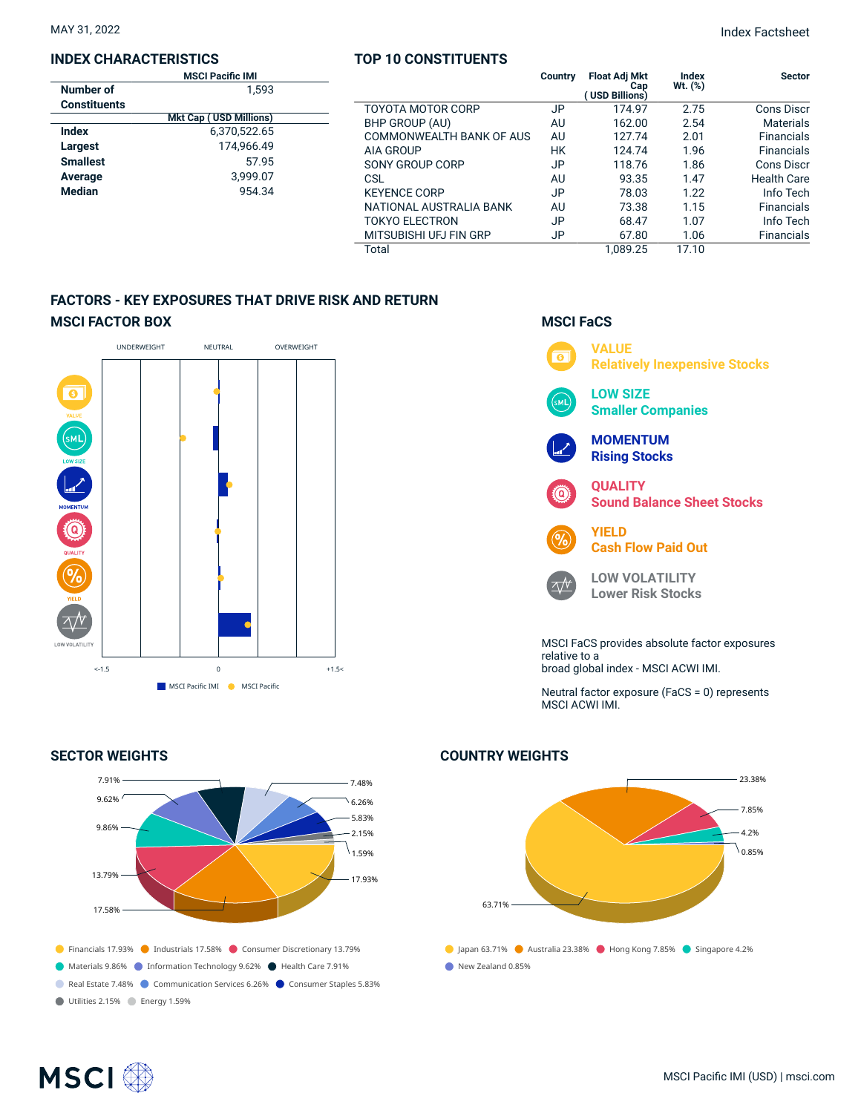# **INDEX CHARACTERISTICS**

| <b>MSCI Pacific IMI</b> |                               |  |  |  |
|-------------------------|-------------------------------|--|--|--|
| Number of               | 1.593                         |  |  |  |
| <b>Constituents</b>     |                               |  |  |  |
|                         | <b>Mkt Cap (USD Millions)</b> |  |  |  |
| Index                   | 6.370.522.65                  |  |  |  |
| Largest                 | 174,966.49                    |  |  |  |
| <b>Smallest</b>         | 57.95                         |  |  |  |
| Average                 | 3.999.07                      |  |  |  |
| <b>Median</b>           | 954.34                        |  |  |  |
|                         |                               |  |  |  |

# **TOP 10 CONSTITUENTS**

|                          | <b>Country</b> | <b>Float Adj Mkt</b><br>Cap<br>(USD Billions) | Index<br>Wt. (%) | <b>Sector</b>      |
|--------------------------|----------------|-----------------------------------------------|------------------|--------------------|
| <b>TOYOTA MOTOR CORP</b> | JP             | 174.97                                        | 2.75             | Cons Discr         |
| BHP GROUP (AU)           | AU             | 162.00                                        | 2.54             | <b>Materials</b>   |
| COMMONWEALTH BANK OF AUS | AU             | 127.74                                        | 2.01             | <b>Financials</b>  |
| <b>AIA GROUP</b>         | НK             | 124.74                                        | 1.96             | <b>Financials</b>  |
| SONY GROUP CORP          | JP             | 118.76                                        | 1.86             | Cons Discr         |
| CSL                      | AU             | 93.35                                         | 1.47             | <b>Health Care</b> |
| <b>KEYENCE CORP</b>      | JP             | 78.03                                         | 1.22             | Info Tech          |
| NATIONAL AUSTRALIA BANK  | AU             | 73.38                                         | 1.15             | <b>Financials</b>  |
| <b>TOKYO ELECTRON</b>    | JP             | 68.47                                         | 1.07             | Info Tech          |
| MITSUBISHI UFJ FIN GRP   | JP             | 67.80                                         | 1.06             | <b>Financials</b>  |
| Total                    |                | 1.089.25                                      | 17.10            |                    |

# **FACTORS - KEY EXPOSURES THAT DRIVE RISK AND RETURN MSCI FACTOR BOX**



# **SECTOR WEIGHTS**



# **MSCI FaCS**



Neutral factor exposure (FaCS = 0) represents MSCI ACWI IMI.

# **COUNTRY WEIGHTS**



# **MSCI**<sup>®</sup>